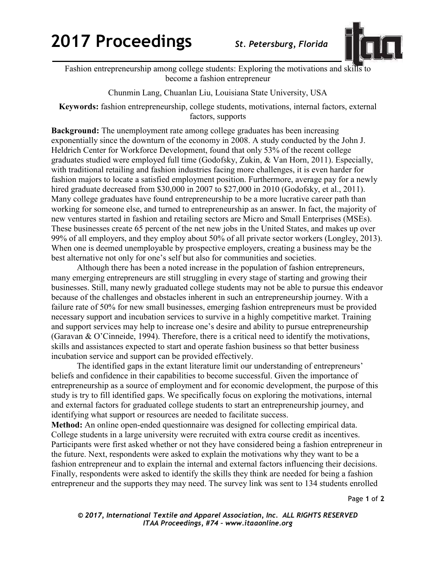## **2017 Proceedings**

St. Petersburg, Florida



Fashion entrepreneurship among college students: Exploring the motivations and skills to become a fashion entrepreneur

Chunmin Lang, Chuanlan Liu, Louisiana State University, USA

Keywords: fashion entrepreneurship, college students, motivations, internal factors, external factors, supports

**Background:** The unemployment rate among college graduates has been increasing exponentially since the downturn of the economy in 2008. A study conducted by the John J. Heldrich Center for Workforce Development, found that only 53% of the recent college graduates studied were employed full time (Godofsky, Zukin, & Van Horn, 2011). Especially, with traditional retailing and fashion industries facing more challenges, it is even harder for fashion majors to locate a satisfied employment position. Furthermore, average pay for a newly hired graduate decreased from \$30,000 in 2007 to \$27,000 in 2010 (Godofsky, et al., 2011). Many college graduates have found entrepreneurship to be a more lucrative career path than working for someone else, and turned to entrepreneurship as an answer. In fact, the majority of new ventures started in fashion and retailing sectors are Micro and Small Enterprises (MSEs). These businesses create 65 percent of the net new jobs in the United States, and makes up over 99% of all employers, and they employ about 50% of all private sector workers (Longley, 2013). When one is deemed unemployable by prospective employers, creating a business may be the best alternative not only for one's self but also for communities and societies.

Although there has been a noted increase in the population of fashion entrepreneurs, many emerging entrepreneurs are still struggling in every stage of starting and growing their businesses. Still, many newly graduated college students may not be able to pursue this endeavor because of the challenges and obstacles inherent in such an entrepreneurship journey. With a failure rate of 50% for new small businesses, emerging fashion entrepreneurs must be provided necessary support and incubation services to survive in a highly competitive market. Training and support services may help to increase one's desire and ability to pursue entrepreneurship (Garavan & O'Cinneide, 1994). Therefore, there is a critical need to identify the motivations, skills and assistances expected to start and operate fashion business so that better business incubation service and support can be provided effectively.

The identified gaps in the extant literature limit our understanding of entrepreneurs' beliefs and confidence in their capabilities to become successful. Given the importance of entrepreneurship as a source of employment and for economic development, the purpose of this study is try to fill identified gaps. We specifically focus on exploring the motivations, internal and external factors for graduated college students to start an entrepreneurship journey, and identifying what support or resources are needed to facilitate success.

Method: An online open-ended questionnaire was designed for collecting empirical data. College students in a large university were recruited with extra course credit as incentives. Participants were first asked whether or not they have considered being a fashion entrepreneur in the future. Next, respondents were asked to explain the motivations why they want to be a fashion entrepreneur and to explain the internal and external factors influencing their decisions. Finally, respondents were asked to identify the skills they think are needed for being a fashion entrepreneur and the supports they may need. The survey link was sent to 134 students enrolled

Page 1 of 2

© 2017, International Textile and Apparel Association, Inc. ALL RIGHTS RESERVED ITAA Proceedings, #74 - www.itaaonline.org